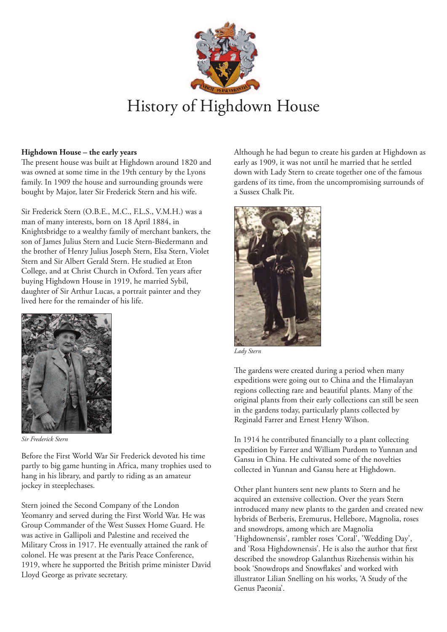

## **Highdown House – the early years**

The present house was built at Highdown around 1820 and was owned at some time in the 19th century by the Lyons family. In 1909 the house and surrounding grounds were bought by Major, later Sir Frederick Stern and his wife.

Sir Frederick Stern (O.B.E., M.C., F.L.S., V.M.H.) was a man of many interests, born on 18 April 1884, in Knightsbridge to a wealthy family of merchant bankers, the son of James Julius Stern and Lucie Stern-Biedermann and the brother of Henry Julius Joseph Stern, Elsa Stern, Violet Stern and Sir Albert Gerald Stern. He studied at Eton College, and at Christ Church in Oxford. Ten years after buying Highdown House in 1919, he married Sybil, daughter of Sir Arthur Lucas, a portrait painter and they lived here for the remainder of his life.



*Sir Frederick Stern*

Before the First World War Sir Frederick devoted his time partly to big game hunting in Africa, many trophies used to hang in his library, and partly to riding as an amateur jockey in steeplechases.

Stern joined the Second Company of the London Yeomanry and served during the First World War. He was Group Commander of the West Sussex Home Guard. He was active in Gallipoli and Palestine and received the Military Cross in 1917. He eventually attained the rank of colonel. He was present at the Paris Peace Conference, 1919, where he supported the British prime minister David Lloyd George as private secretary.

Although he had begun to create his garden at Highdown as early as 1909, it was not until he married that he settled down with Lady Stern to create together one of the famous gardens of its time, from the uncompromising surrounds of a Sussex Chalk Pit.



*Lady Stern*

The gardens were created during a period when many expeditions were going out to China and the Himalayan regions collecting rare and beautiful plants. Many of the original plants from their early collections can still be seen in the gardens today, particularly plants collected by Reginald Farrer and Ernest Henry Wilson.

In 1914 he contributed financially to a plant collecting expedition by Farrer and William Purdom to Yunnan and Gansu in China. He cultivated some of the novelties collected in Yunnan and Gansu here at Highdown.

Other plant hunters sent new plants to Stern and he acquired an extensive collection. Over the years Stern introduced many new plants to the garden and created new hybrids of Berberis, Eremurus, Hellebore, Magnolia, roses and snowdrops, among which are Magnolia 'Highdownensis', rambler roses 'Coral', 'Wedding Day', and 'Rosa Highdownensis'. He is also the author that first described the snowdrop Galanthus Rizehensis within his book 'Snowdrops and Snowflakes' and worked with illustrator Lilian Snelling on his works, 'A Study of the Genus Paeonia'.